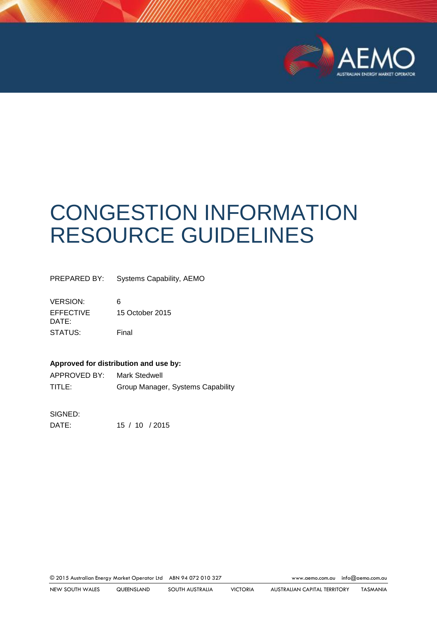

# CONGESTION INFORMATION RESOURCE GUIDELINES

PREPARED BY: Systems Capability, AEMO

VERSION: 6 EFFECTIVE DATE: 15 October 2015 STATUS: Final

#### **Approved for distribution and use by:**

| APPROVED BY: | Mark Stedwell                     |
|--------------|-----------------------------------|
| TITLE:       | Group Manager, Systems Capability |

SIGNED:

DATE: 15 / 10 / 2015

© 2015 Australian Energy Market Operator Ltd ABN 94 072 010 327 [www.aemo.com.au](http://www.aemo.com.au/) [info@aemo.com.au](mailto:info@aemo.com.au)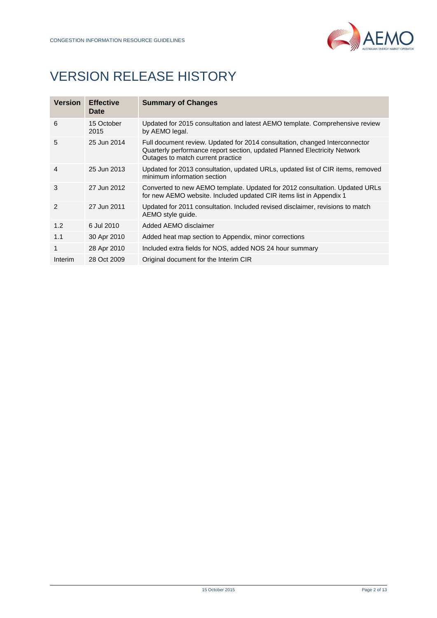

# VERSION RELEASE HISTORY

| <b>Version</b> | <b>Effective</b><br>Date | <b>Summary of Changes</b>                                                                                                                                                                     |
|----------------|--------------------------|-----------------------------------------------------------------------------------------------------------------------------------------------------------------------------------------------|
| 6              | 15 October<br>2015       | Updated for 2015 consultation and latest AEMO template. Comprehensive review<br>by AEMO legal.                                                                                                |
| 5              | 25 Jun 2014              | Full document review. Updated for 2014 consultation, changed Interconnector<br>Quarterly performance report section, updated Planned Electricity Network<br>Outages to match current practice |
| 4              | 25 Jun 2013              | Updated for 2013 consultation, updated URLs, updated list of CIR items, removed<br>minimum information section                                                                                |
| 3              | 27 Jun 2012              | Converted to new AEMO template. Updated for 2012 consultation. Updated URLs<br>for new AEMO website. Included updated CIR items list in Appendix 1                                            |
| 2              | 27 Jun 2011              | Updated for 2011 consultation. Included revised disclaimer, revisions to match<br>AEMO style guide.                                                                                           |
| 1.2            | 6 Jul 2010               | Added AEMO disclaimer                                                                                                                                                                         |
| 1.1            | 30 Apr 2010              | Added heat map section to Appendix, minor corrections                                                                                                                                         |
| 1              | 28 Apr 2010              | Included extra fields for NOS, added NOS 24 hour summary                                                                                                                                      |
| Interim        | 28 Oct 2009              | Original document for the Interim CIR                                                                                                                                                         |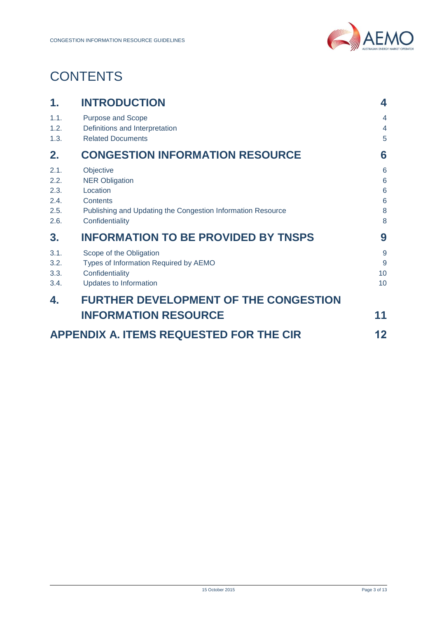

# **CONTENTS**

| 1.                                           | <b>INTRODUCTION</b>                                                                                                                          | 4                                                    |
|----------------------------------------------|----------------------------------------------------------------------------------------------------------------------------------------------|------------------------------------------------------|
| 1.1.<br>1.2.<br>1.3.                         | Purpose and Scope<br>Definitions and Interpretation<br><b>Related Documents</b>                                                              | $\overline{4}$<br>$\overline{4}$<br>5                |
| 2.                                           | <b>CONGESTION INFORMATION RESOURCE</b>                                                                                                       | 6                                                    |
| 2.1.<br>2.2.<br>2.3.<br>2.4.<br>2.5.<br>2.6. | Objective<br><b>NER Obligation</b><br>Location<br>Contents<br>Publishing and Updating the Congestion Information Resource<br>Confidentiality | 6<br>$6\phantom{a}$<br>$6\phantom{a}$<br>6<br>8<br>8 |
| 3.                                           | <b>INFORMATION TO BE PROVIDED BY TNSPS</b>                                                                                                   | 9                                                    |
| 3.1.<br>3.2.<br>3.3.<br>3.4.                 | Scope of the Obligation<br>Types of Information Required by AEMO<br>Confidentiality<br>Updates to Information                                | 9<br>9<br>10<br>10                                   |
| 4.                                           | <b>FURTHER DEVELOPMENT OF THE CONGESTION</b>                                                                                                 |                                                      |
|                                              | <b>INFORMATION RESOURCE</b>                                                                                                                  | 11                                                   |
|                                              | <b>APPENDIX A. ITEMS REQUESTED FOR THE CIR</b>                                                                                               | 12                                                   |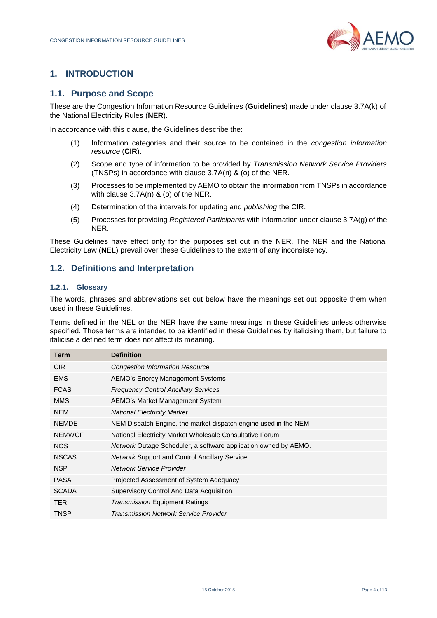

# <span id="page-3-0"></span>**1. INTRODUCTION**

#### <span id="page-3-1"></span>**1.1. Purpose and Scope**

These are the Congestion Information Resource Guidelines (**Guidelines**) made under clause 3.7A(k) of the National Electricity Rules (**NER**).

In accordance with this clause, the Guidelines describe the:

- (1) Information categories and their source to be contained in the *congestion information resource* (**CIR**).
- (2) Scope and type of information to be provided by *Transmission Network Service Providers* (TNSPs) in accordance with clause 3.7A(n) & (o) of the NER.
- (3) Processes to be implemented by AEMO to obtain the information from TNSPs in accordance with clause 3.7A(n) & (o) of the NER.
- (4) Determination of the intervals for updating and *publishing* the CIR.
- (5) Processes for providing *Registered Participants* with information under clause 3.7A(g) of the NER.

These Guidelines have effect only for the purposes set out in the NER. The NER and the National Electricity Law (**NEL**) prevail over these Guidelines to the extent of any inconsistency.

### <span id="page-3-2"></span>**1.2. Definitions and Interpretation**

#### **1.2.1. Glossary**

The words, phrases and abbreviations set out below have the meanings set out opposite them when used in these Guidelines.

Terms defined in the NEL or the NER have the same meanings in these Guidelines unless otherwise specified. Those terms are intended to be identified in these Guidelines by italicising them, but failure to italicise a defined term does not affect its meaning.

| <b>Definition</b>                                                      |
|------------------------------------------------------------------------|
| <b>Congestion Information Resource</b>                                 |
| AEMO's Energy Management Systems                                       |
| <b>Frequency Control Ancillary Services</b>                            |
| AEMO's Market Management System                                        |
| <b>National Electricity Market</b>                                     |
| NEM Dispatch Engine, the market dispatch engine used in the NEM        |
| National Electricity Market Wholesale Consultative Forum               |
| <i>Network</i> Outage Scheduler, a software application owned by AEMO. |
| <b>Network Support and Control Ancillary Service</b>                   |
| Network Service Provider                                               |
| Projected Assessment of System Adequacy                                |
| Supervisory Control And Data Acquisition                               |
| <b>Transmission Equipment Ratings</b>                                  |
| <b>Transmission Network Service Provider</b>                           |
|                                                                        |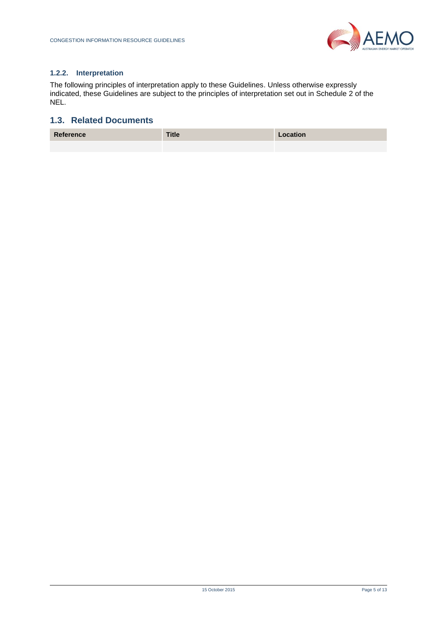

#### **1.2.2. Interpretation**

The following principles of interpretation apply to these Guidelines. Unless otherwise expressly indicated, these Guidelines are subject to the principles of interpretation set out in Schedule 2 of the NEL.

# <span id="page-4-0"></span>**1.3. Related Documents**

| Reference | <b>Title</b> | Location |
|-----------|--------------|----------|
|           |              |          |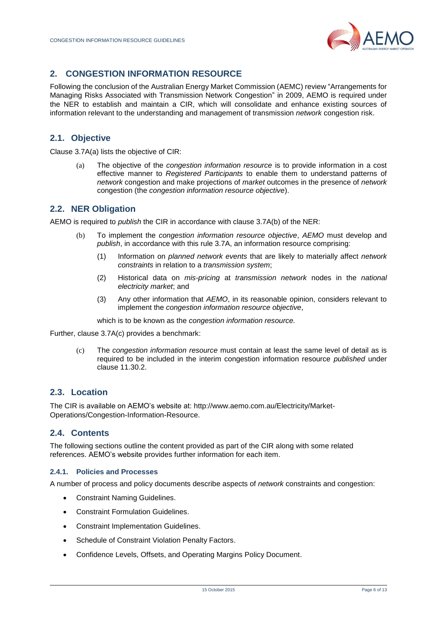

# <span id="page-5-0"></span>**2. CONGESTION INFORMATION RESOURCE**

Following the conclusion of the Australian Energy Market Commission (AEMC) review "Arrangements for Managing Risks Associated with Transmission Network Congestion" in 2009, AEMO is required under the NER to establish and maintain a CIR, which will consolidate and enhance existing sources of information relevant to the understanding and management of transmission *network* congestion risk.

# <span id="page-5-1"></span>**2.1. Objective**

Clause 3.7A(a) lists the objective of CIR:

(a) The objective of the *congestion information resource* is to provide information in a cost effective manner to *Registered Participants* to enable them to understand patterns of *network* congestion and make projections of *market* outcomes in the presence of *network* congestion (the *congestion information resource objective*).

# <span id="page-5-2"></span>**2.2. NER Obligation**

AEMO is required to *publish* the CIR in accordance with clause 3.7A(b) of the NER:

- (b) To implement the *congestion information resource objective*, *AEMO* must develop and *publish*, in accordance with this rule 3.7A, an information resource comprising:
	- (1) Information on *planned network events* that are likely to materially affect *network constraints* in relation to a *transmission system*;
	- (2) Historical data on *mis-pricing* at *transmission network* nodes in the *national electricity market*; and
	- (3) Any other information that *AEMO*, in its reasonable opinion, considers relevant to implement the *congestion information resource objective*,

which is to be known as the *congestion information resource.*

Further, clause 3.7A(c) provides a benchmark:

(c) The *congestion information resource* must contain at least the same level of detail as is required to be included in the interim congestion information resource *published* under clause 11.30.2.

#### <span id="page-5-3"></span>**2.3. Location**

The CIR is available on AEMO's website at: [http://www.aemo.com.au/Electricity/Market-](http://www.aemo.com.au/Electricity/Market-Operations/Congestion-Information-Resource)[Operations/Congestion-Information-Resource.](http://www.aemo.com.au/Electricity/Market-Operations/Congestion-Information-Resource)

### <span id="page-5-4"></span>**2.4. Contents**

The following sections outline the content provided as part of the CIR along with some related references. AEMO's website provides further information for each item.

#### **2.4.1. Policies and Processes**

A number of process and policy documents describe aspects of *network* constraints and congestion:

- Constraint Naming Guidelines.
- Constraint Formulation Guidelines.
- Constraint Implementation Guidelines.
- Schedule of Constraint Violation Penalty Factors.
- Confidence Levels, Offsets, and Operating Margins Policy Document.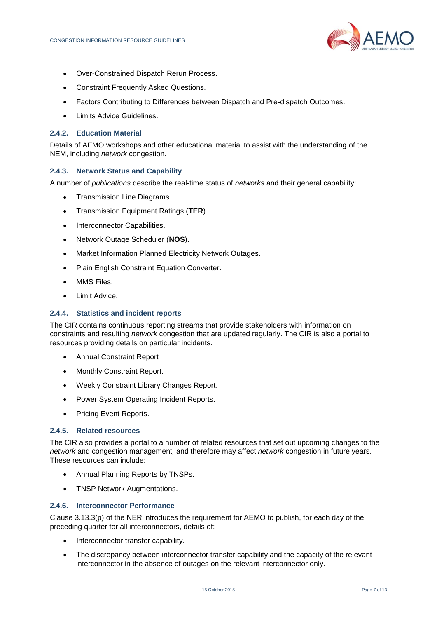

- Over-Constrained Dispatch Rerun Process.
- Constraint Frequently Asked Questions.
- Factors Contributing to Differences between Dispatch and Pre-dispatch Outcomes.
- Limits Advice Guidelines.

#### **2.4.2. Education Material**

Details of AEMO workshops and other educational material to assist with the understanding of the NEM, including *network* congestion.

#### **2.4.3. Network Status and Capability**

A number of *publications* describe the real-time status of *networks* and their general capability:

- Transmission Line Diagrams.
- Transmission Equipment Ratings (**TER**).
- Interconnector Capabilities.
- Network Outage Scheduler (**NOS**).
- Market Information Planned Electricity Network Outages.
- Plain English Constraint Equation Converter.
- MMS Files.
- Limit Advice.

#### **2.4.4. Statistics and incident reports**

The CIR contains continuous reporting streams that provide stakeholders with information on constraints and resulting *network* congestion that are updated regularly. The CIR is also a portal to resources providing details on particular incidents.

- Annual Constraint Report
- Monthly Constraint Report.
- Weekly Constraint Library Changes Report.
- Power System Operating Incident Reports.
- Pricing Event Reports.

#### **2.4.5. Related resources**

The CIR also provides a portal to a number of related resources that set out upcoming changes to the *network* and congestion management*,* and therefore may affect *network* congestion in future years. These resources can include:

- Annual Planning Reports by TNSPs.
- TNSP Network Augmentations.

#### **2.4.6. Interconnector Performance**

Clause 3.13.3(p) of the NER introduces the requirement for AEMO to publish, for each day of the preceding quarter for all interconnectors, details of:

- Interconnector transfer capability.
- The discrepancy between interconnector transfer capability and the capacity of the relevant interconnector in the absence of outages on the relevant interconnector only.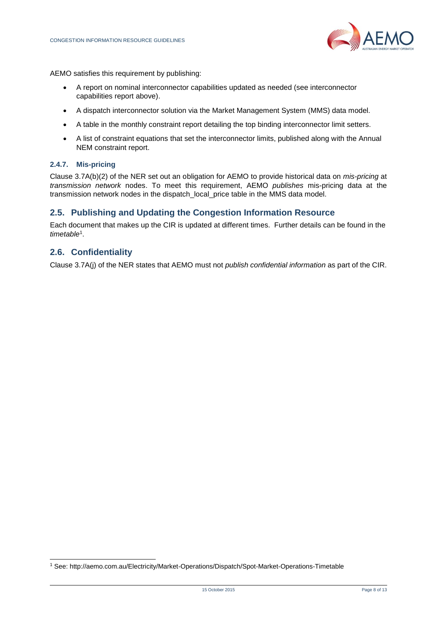

AEMO satisfies this requirement by publishing:

- A report on nominal interconnector capabilities updated as needed (see interconnector capabilities report above).
- A dispatch interconnector solution via the Market Management System (MMS) data model.
- A table in the monthly constraint report detailing the top binding interconnector limit setters.
- A list of constraint equations that set the interconnector limits, published along with the Annual NEM constraint report.

#### **2.4.7. Mis-pricing**

Clause 3.7A(b)(2) of the NER set out an obligation for AEMO to provide historical data on *mis-pricing* at *transmission network* nodes. To meet this requirement, AEMO *publishes* mis-pricing data at the transmission network nodes in the dispatch\_local\_price table in the MMS data model.

#### <span id="page-7-0"></span>**2.5. Publishing and Updating the Congestion Information Resource**

Each document that makes up the CIR is updated at different times. Further details can be found in the *timetable*<sup>1</sup> .

#### <span id="page-7-1"></span>**2.6. Confidentiality**

l

Clause 3.7A(j) of the NER states that AEMO must not *publish confidential information* as part of the CIR.

<sup>1</sup> See:<http://aemo.com.au/Electricity/Market-Operations/Dispatch/Spot-Market-Operations-Timetable>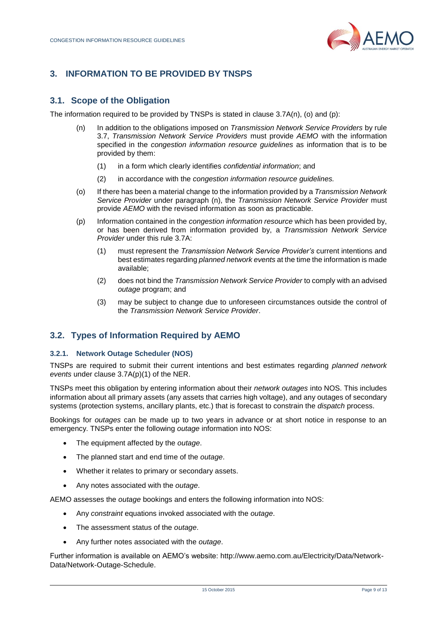

# <span id="page-8-0"></span>**3. INFORMATION TO BE PROVIDED BY TNSPS**

# <span id="page-8-1"></span>**3.1. Scope of the Obligation**

The information required to be provided by TNSPs is stated in clause 3.7A(n), (o) and (p):

- (n) In addition to the obligations imposed on *Transmission Network Service Providers* by rule 3.7, *Transmission Network Service Providers* must provide *AEMO* with the information specified in the *congestion information resource guidelines* as information that is to be provided by them:
	- (1) in a form which clearly identifies *confidential information*; and
	- (2) in accordance with the *congestion information resource guidelines.*
- (o) If there has been a material change to the information provided by a *Transmission Network Service Provider* under paragraph (n), the *Transmission Network Service Provider* must provide *AEMO* with the revised information as soon as practicable.
- (p) Information contained in the *congestion information resource* which has been provided by, or has been derived from information provided by, a *Transmission Network Service Provider* under this rule 3.7A:
	- (1) must represent the *Transmission Network Service Provider's* current intentions and best estimates regarding *planned network events* at the time the information is made available;
	- (2) does not bind the *Transmission Network Service Provider* to comply with an advised *outage* program; and
	- (3) may be subject to change due to unforeseen circumstances outside the control of the *Transmission Network Service Provider*.

# <span id="page-8-2"></span>**3.2. Types of Information Required by AEMO**

#### **3.2.1. Network Outage Scheduler (NOS)**

TNSPs are required to submit their current intentions and best estimates regarding *planned network events* under clause 3.7A(p)(1) of the NER.

TNSPs meet this obligation by entering information about their *network outages* into NOS. This includes information about all primary assets (any assets that carries high voltage), and any outages of secondary systems (protection systems, ancillary plants, etc.) that is forecast to constrain the *dispatch* process.

Bookings for *outages* can be made up to two years in advance or at short notice in response to an emergency. TNSPs enter the following *outage* information into NOS:

- The equipment affected by the *outage*.
- The planned start and end time of the *outage*.
- Whether it relates to primary or secondary assets.
- Any notes associated with the *outage*.

AEMO assesses the *outage* bookings and enters the following information into NOS:

- Any *constraint* equations invoked associated with the *outage*.
- The assessment status of the *outage*.
- Any further notes associated with the *outage*.

Further information is available on AEMO's website: [http://www.aemo.com.au/Electricity/Data/Network-](http://www.aemo.com.au/Electricity/Data/Network-Data/Network-Outage-Schedule)[Data/Network-Outage-Schedule.](http://www.aemo.com.au/Electricity/Data/Network-Data/Network-Outage-Schedule)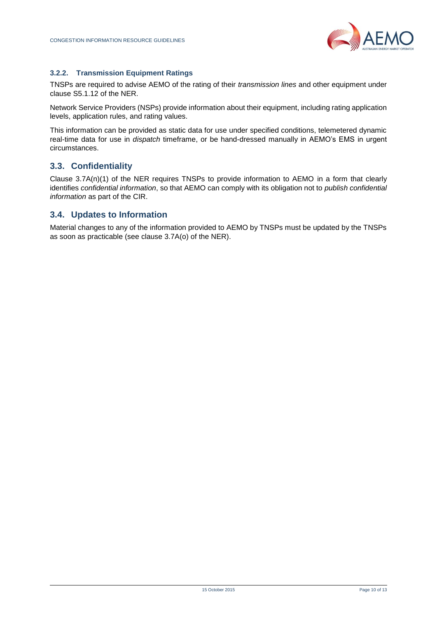

#### **3.2.2. Transmission Equipment Ratings**

TNSPs are required to advise AEMO of the rating of their *transmission lines* and other equipment under clause S5.1.12 of the NER.

Network Service Providers (NSPs) provide information about their equipment, including rating application levels, application rules, and rating values.

This information can be provided as static data for use under specified conditions, telemetered dynamic real-time data for use in *dispatch* timeframe, or be hand-dressed manually in AEMO's EMS in urgent circumstances.

# <span id="page-9-0"></span>**3.3. Confidentiality**

Clause 3.7A(n)(1) of the NER requires TNSPs to provide information to AEMO in a form that clearly identifies *confidential information*, so that AEMO can comply with its obligation not to *publish confidential information* as part of the CIR.

#### <span id="page-9-1"></span>**3.4. Updates to Information**

Material changes to any of the information provided to AEMO by TNSPs must be updated by the TNSPs as soon as practicable (see clause 3.7A(o) of the NER).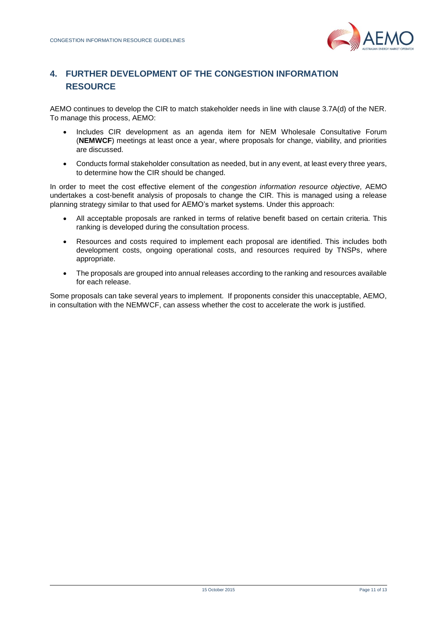

# <span id="page-10-0"></span>**4. FURTHER DEVELOPMENT OF THE CONGESTION INFORMATION RESOURCE**

AEMO continues to develop the CIR to match stakeholder needs in line with clause 3.7A(d) of the NER. To manage this process, AEMO:

- Includes CIR development as an agenda item for NEM Wholesale Consultative Forum (**NEMWCF**) meetings at least once a year, where proposals for change, viability, and priorities are discussed.
- Conducts formal stakeholder consultation as needed, but in any event, at least every three years, to determine how the CIR should be changed.

In order to meet the cost effective element of the *congestion information resource objective,* AEMO undertakes a cost-benefit analysis of proposals to change the CIR. This is managed using a release planning strategy similar to that used for AEMO's market systems. Under this approach:

- All acceptable proposals are ranked in terms of relative benefit based on certain criteria. This ranking is developed during the consultation process.
- Resources and costs required to implement each proposal are identified. This includes both development costs, ongoing operational costs, and resources required by TNSPs, where appropriate.
- The proposals are grouped into annual releases according to the ranking and resources available for each release.

Some proposals can take several years to implement. If proponents consider this unacceptable, AEMO, in consultation with the NEMWCF, can assess whether the cost to accelerate the work is justified.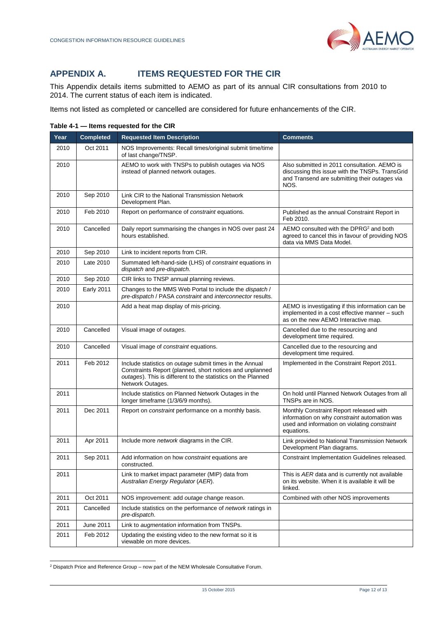# <span id="page-11-0"></span>**APPENDIX A. ITEMS REQUESTED FOR THE CIR**

This Appendix details items submitted to AEMO as part of its annual CIR consultations from 2010 to 2014. The current status of each item is indicated.

Items not listed as completed or cancelled are considered for future enhancements of the CIR.

| Year | <b>Completed</b>  | <b>Requested Item Description</b>                                                                                                                                                                       | <b>Comments</b>                                                                                                                                          |
|------|-------------------|---------------------------------------------------------------------------------------------------------------------------------------------------------------------------------------------------------|----------------------------------------------------------------------------------------------------------------------------------------------------------|
| 2010 | Oct 2011          | NOS Improvements: Recall times/original submit time/time<br>of last change/TNSP.                                                                                                                        |                                                                                                                                                          |
| 2010 |                   | AEMO to work with TNSPs to publish outages via NOS<br>instead of planned network outages.                                                                                                               | Also submitted in 2011 consultation. AEMO is<br>discussing this issue with the TNSPs. TransGrid<br>and Transend are submitting their outages via<br>NOS. |
| 2010 | Sep 2010          | Link CIR to the National Transmission Network<br>Development Plan.                                                                                                                                      |                                                                                                                                                          |
| 2010 | Feb 2010          | Report on performance of constraint equations.                                                                                                                                                          | Published as the annual Constraint Report in<br>Feb 2010.                                                                                                |
| 2010 | Cancelled         | Daily report summarising the changes in NOS over past 24<br>hours established.                                                                                                                          | AEMO consulted with the DPRG <sup>2</sup> and both<br>agreed to cancel this in favour of providing NOS<br>data via MMS Data Model.                       |
| 2010 | Sep 2010          | Link to incident reports from CIR.                                                                                                                                                                      |                                                                                                                                                          |
| 2010 | Late 2010         | Summated left-hand-side (LHS) of constraint equations in<br>dispatch and pre-dispatch.                                                                                                                  |                                                                                                                                                          |
| 2010 | Sep 2010          | CIR links to TNSP annual planning reviews.                                                                                                                                                              |                                                                                                                                                          |
| 2010 | <b>Early 2011</b> | Changes to the MMS Web Portal to include the <i>dispatch</i> /<br>pre-dispatch / PASA constraint and interconnector results.                                                                            |                                                                                                                                                          |
| 2010 |                   | Add a heat map display of mis-pricing.                                                                                                                                                                  | AEMO is investigating if this information can be<br>implemented in a cost effective manner - such<br>as on the new AEMO Interactive map.                 |
| 2010 | Cancelled         | Visual image of outages.                                                                                                                                                                                | Cancelled due to the resourcing and<br>development time required.                                                                                        |
| 2010 | Cancelled         | Visual image of constraint equations.                                                                                                                                                                   | Cancelled due to the resourcing and<br>development time required.                                                                                        |
| 2011 | Feb 2012          | Include statistics on outage submit times in the Annual<br>Constraints Report (planned, short notices and unplanned<br>outages). This is different to the statistics on the Planned<br>Network Outages. | Implemented in the Constraint Report 2011.                                                                                                               |
| 2011 |                   | Include statistics on Planned Network Outages in the<br>longer timeframe (1/3/6/9 months).                                                                                                              | On hold until Planned Network Outages from all<br>TNSPs are in NOS.                                                                                      |
| 2011 | Dec 2011          | Report on constraint performance on a monthly basis.                                                                                                                                                    | Monthly Constraint Report released with<br>information on why constraint automation was<br>used and information on violating constraint<br>equations.    |
| 2011 | Apr 2011          | Include more <i>network</i> diagrams in the CIR.                                                                                                                                                        | Link provided to National Transmission Network<br>Development Plan diagrams.                                                                             |
| 2011 | Sep 2011          | Add information on how <i>constraint</i> equations are<br>constructed.                                                                                                                                  | Constraint Implementation Guidelines released.                                                                                                           |
| 2011 |                   | Link to market impact parameter (MIP) data from<br>Australian Energy Regulator (AER).                                                                                                                   | This is AER data and is currently not available<br>on its website. When it is available it will be<br>linked.                                            |
| 2011 | Oct 2011          | NOS improvement: add outage change reason.                                                                                                                                                              | Combined with other NOS improvements                                                                                                                     |
| 2011 | Cancelled         | Include statistics on the performance of <i>network</i> ratings in<br>pre-dispatch.                                                                                                                     |                                                                                                                                                          |
| 2011 | June 2011         | Link to augmentation information from TNSPs.                                                                                                                                                            |                                                                                                                                                          |
| 2011 | Feb 2012          | Updating the existing video to the new format so it is<br>viewable on more devices.                                                                                                                     |                                                                                                                                                          |

**Table 4-1 — Items requested for the CIR**

l <sup>2</sup> Dispatch Price and Reference Group – now part of the NEM Wholesale Consultative Forum.